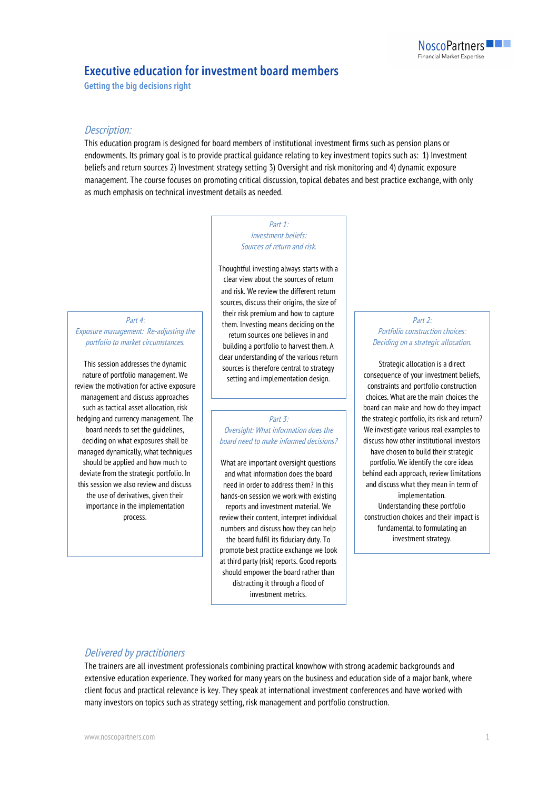# **Executive education for investment board members**

**Getting the big decisions right** 

## Description:

This education program is designed for board members of institutional investment firms such as pension plans or endowments. Its primary goal is to provide practical guidance relating to key investment topics such as: 1) Investment beliefs and return sources 2) Investment strategy setting 3) Oversight and risk monitoring and 4) dynamic exposure management. The course focuses on promoting critical discussion, topical debates and best practice exchange, with only as much emphasis on technical investment details as needed.

#### Part 1: Investment beliefs: Sources of return and risk.

Part 4: Exposure management: Re-adjusting the portfolio to market circumstances.

This session addresses the dynamic nature of portfolio management. We review the motivation for active exposure management and discuss approaches such as tactical asset allocation, risk hedging and currency management. The board needs to set the guidelines, deciding on what exposures shall be managed dynamically, what techniques should be applied and how much to deviate from the strategic portfolio. In this session we also review and discuss the use of derivatives, given their importance in the implementation process.

Thoughtful investing always starts with a clear view about the sources of return and risk. We review the different return sources, discuss their origins, the size of their risk premium and how to capture them. Investing means deciding on the return sources one believes in and building a portfolio to harvest them. A clear understanding of the various return sources is therefore central to strategy setting and implementation design.

Part 3:

Oversight: What information does the board need to make informed decisions?

What are important oversight questions and what information does the board need in order to address them? In this hands-on session we work with existing reports and investment material. We review their content, interpret individual numbers and discuss how they can help the board fulfil its fiduciary duty. To promote best practice exchange we look at third party (risk) reports. Good reports should empower the board rather than distracting it through a flood of investment metrics.

#### Part 2: Portfolio construction choices: Deciding on a strategic allocation.

Strategic allocation is a direct consequence of your investment beliefs, constraints and portfolio construction choices. What are the main choices the board can make and how do they impact the strategic portfolio, its risk and return? We investigate various real examples to discuss how other institutional investors have chosen to build their strategic portfolio. We identify the core ideas behind each approach, review limitations and discuss what they mean in term of implementation. Understanding these portfolio construction choices and their impact is fundamental to formulating an investment strategy.

#### Delivered by practitioners

The trainers are all investment professionals combining practical knowhow with strong academic backgrounds and extensive education experience. They worked for many years on the business and education side of a major bank, where client focus and practical relevance is key. They speak at international investment conferences and have worked with many investors on topics such as strategy setting, risk management and portfolio construction.